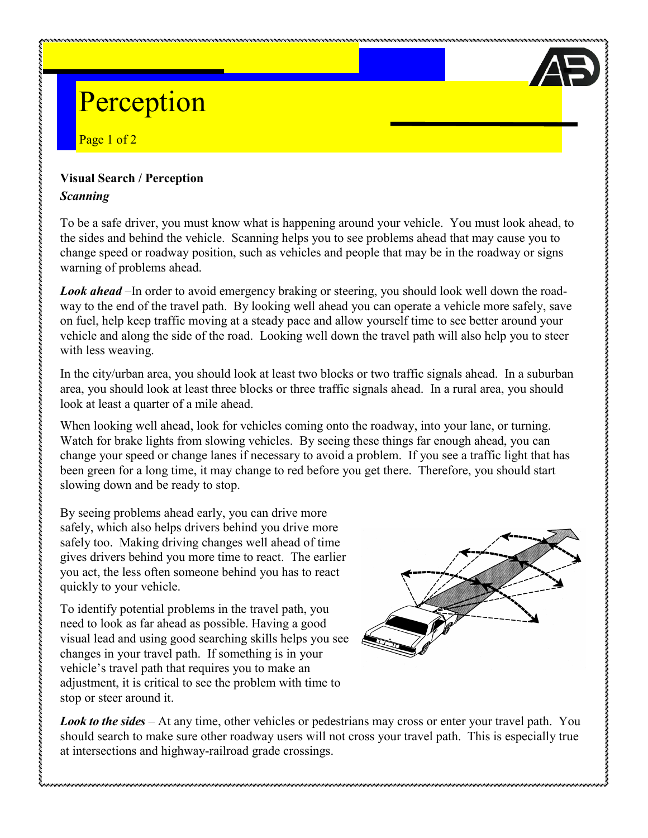# Perception

Page 1 of 2

### **Visual Search / Perception**

#### *Scanning*

To be a safe driver, you must know what is happening around your vehicle. You must look ahead, to the sides and behind the vehicle. Scanning helps you to see problems ahead that may cause you to change speed or roadway position, such as vehicles and people that may be in the roadway or signs warning of problems ahead.

*Look ahead* –In order to avoid emergency braking or steering, you should look well down the roadway to the end of the travel path. By looking well ahead you can operate a vehicle more safely, save on fuel, help keep traffic moving at a steady pace and allow yourself time to see better around your vehicle and along the side of the road. Looking well down the travel path will also help you to steer with less weaving.

In the city/urban area, you should look at least two blocks or two traffic signals ahead. In a suburban area, you should look at least three blocks or three traffic signals ahead. In a rural area, you should look at least a quarter of a mile ahead.

When looking well ahead, look for vehicles coming onto the roadway, into your lane, or turning. Watch for brake lights from slowing vehicles. By seeing these things far enough ahead, you can change your speed or change lanes if necessary to avoid a problem. If you see a traffic light that has been green for a long time, it may change to red before you get there. Therefore, you should start slowing down and be ready to stop.

By seeing problems ahead early, you can drive more safely, which also helps drivers behind you drive more safely too. Making driving changes well ahead of time gives drivers behind you more time to react. The earlier you act, the less often someone behind you has to react quickly to your vehicle.

To identify potential problems in the travel path, you need to look as far ahead as possible. Having a good visual lead and using good searching skills helps you see changes in your travel path. If something is in your vehicle's travel path that requires you to make an adjustment, it is critical to see the problem with time to stop or steer around it.



*Look to the sides* – At any time, other vehicles or pedestrians may cross or enter your travel path. You should search to make sure other roadway users will not cross your travel path. This is especially true at intersections and highway-railroad grade crossings.